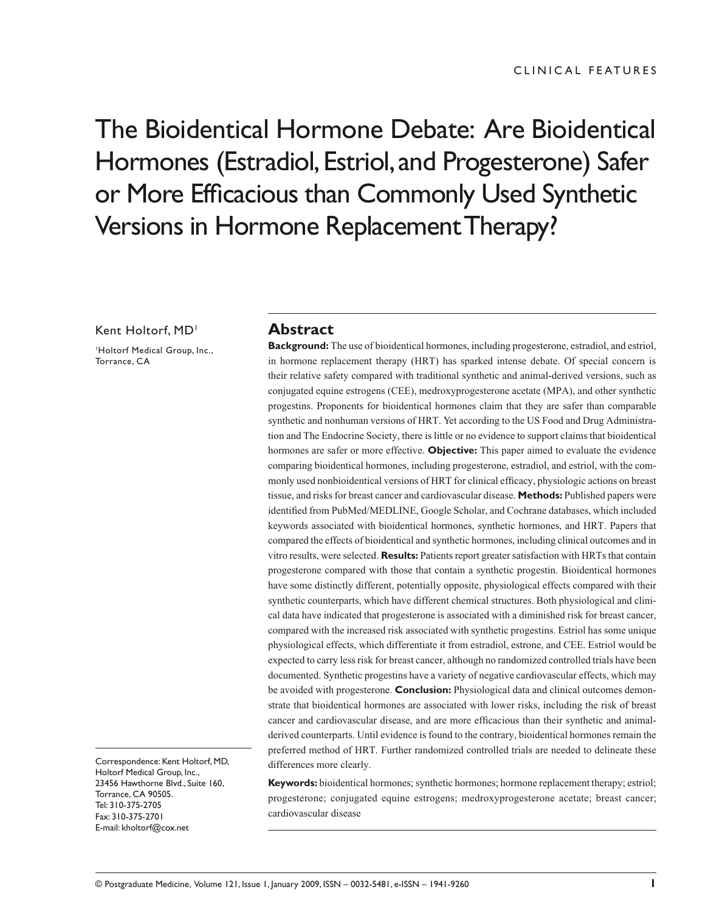The Bioidentical Hormone Debate: Are Bioidentical Hormones (Estradiol, Estriol, and Progesterone) Safer or More Efficacious than Commonly Used Synthetic Versions in Hormone Replacement Therapy?

Kent Holtorf, MD<sup>1</sup>

1 Holtorf Medical Group, Inc., Torrance, CA

### **Abstract**

**Background:** The use of bioidentical hormones, including progesterone, estradiol, and estriol, in hormone replacement therapy (HRT) has sparked intense debate. Of special concern is their relative safety compared with traditional synthetic and animal-derived versions, such as conjugated equine estrogens (CEE), medroxyprogesterone acetate (MPA), and other synthetic progestins. Proponents for bioidentical hormones claim that they are safer than comparable synthetic and nonhuman versions of HRT. Yet according to the US Food and Drug Administration and The Endocrine Society, there is little or no evidence to support claims that bioidentical hormones are safer or more effective. **Objective:** This paper aimed to evaluate the evidence comparing bioidentical hormones, including progesterone, estradiol, and estriol, with the commonly used nonbioidentical versions of HRT for clinical efficacy, physiologic actions on breast tissue, and risks for breast cancer and cardiovascular disease. **Methods:** Published papers were identified from PubMed/MEDLINE, Google Scholar, and Cochrane databases, which included keywords associated with bioidentical hormones, synthetic hormones, and HRT. Papers that compared the effects of bioidentical and synthetic hormones, including clinical outcomes and in vitro results, were selected. **Results:** Patients report greater satisfaction with HRTs that contain progesterone compared with those that contain a synthetic progestin. Bioidentical hormones have some distinctly different, potentially opposite, physiological effects compared with their synthetic counterparts, which have different chemical structures. Both physiological and clinical data have indicated that progesterone is associated with a diminished risk for breast cancer, compared with the increased risk associated with synthetic progestins. Estriol has some unique physiological effects, which differentiate it from estradiol, estrone, and CEE. Estriol would be expected to carry less risk for breast cancer, although no randomized controlled trials have been documented. Synthetic progestins have a variety of negative cardiovascular effects, which may be avoided with progesterone. **Conclusion:** Physiological data and clinical outcomes demonstrate that bioidentical hormones are associated with lower risks, including the risk of breast cancer and cardiovascular disease, and are more efficacious than their synthetic and animalderived counterparts. Until evidence is found to the contrary, bioidentical hormones remain the preferred method of HRT. Further randomized controlled trials are needed to delineate these differences more clearly.

Correspondence: Kent Holtorf, MD, Holtorf Medical Group, Inc., 23456 Hawthorne Blvd., Suite 160, Torrance, CA 90505. Tel: 310-375-2705 Fax: 310-375-2701 E-mail: kholtorf@cox.net

**Keywords:** bioidentical hormones; synthetic hormones; hormone replacement therapy; estriol; progesterone; conjugated equine estrogens; medroxyprogesterone acetate; breast cancer; cardiovascular disease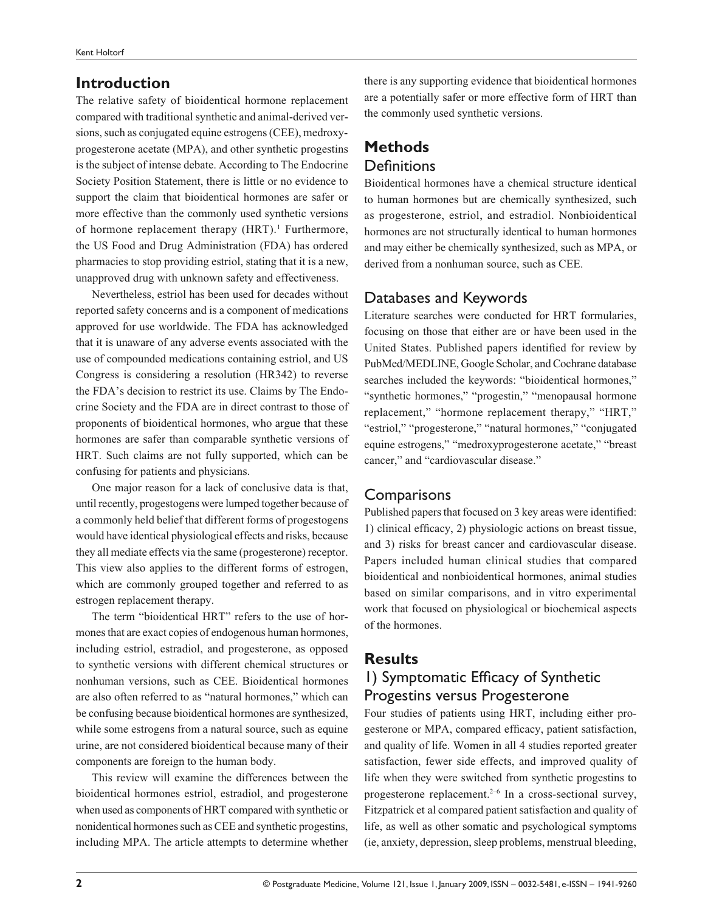### **Introduction**

The relative safety of bioidentical hormone replacement compared with traditional synthetic and animal-derived versions, such as conjugated equine estrogens (CEE), medroxyprogesterone acetate (MPA), and other synthetic progestins is the subject of intense debate. According to The Endocrine Society Position Statement, there is little or no evidence to support the claim that bioidentical hormones are safer or more effective than the commonly used synthetic versions of hormone replacement therapy (HRT).<sup>1</sup> Furthermore, the US Food and Drug Administration (FDA) has ordered pharmacies to stop providing estriol, stating that it is a new, unapproved drug with unknown safety and effectiveness.

Nevertheless, estriol has been used for decades without reported safety concerns and is a component of medications approved for use worldwide. The FDA has acknowledged that it is unaware of any adverse events associated with the use of compounded medications containing estriol, and US Congress is considering a resolution (HR342) to reverse the FDA's decision to restrict its use. Claims by The Endocrine Society and the FDA are in direct contrast to those of proponents of bioidentical hormones, who argue that these hormones are safer than comparable synthetic versions of HRT. Such claims are not fully supported, which can be confusing for patients and physicians.

One major reason for a lack of conclusive data is that, until recently, progestogens were lumped together because of a commonly held belief that different forms of progestogens would have identical physiological effects and risks, because they all mediate effects via the same (progesterone) receptor. This view also applies to the different forms of estrogen, which are commonly grouped together and referred to as estrogen replacement therapy.

The term "bioidentical HRT" refers to the use of hormones that are exact copies of endogenous human hormones, including estriol, estradiol, and progesterone, as opposed to synthetic versions with different chemical structures or nonhuman versions, such as CEE. Bioidentical hormones are also often referred to as "natural hormones," which can be confusing because bioidentical hormones are synthesized, while some estrogens from a natural source, such as equine urine, are not considered bioidentical because many of their components are foreign to the human body.

This review will examine the differences between the bioidentical hormones estriol, estradiol, and progesterone when used as components of HRT compared with synthetic or nonidentical hormones such as CEE and synthetic progestins, including MPA. The article attempts to determine whether there is any supporting evidence that bioidentical hormones are a potentially safer or more effective form of HRT than the commonly used synthetic versions.

### **Methods Definitions**

Bioidentical hormones have a chemical structure identical to human hormones but are chemically synthesized, such as progesterone, estriol, and estradiol. Nonbioidentical hormones are not structurally identical to human hormones and may either be chemically synthesized, such as MPA, or derived from a nonhuman source, such as CEE.

## Databases and Keywords

Literature searches were conducted for HRT formularies, focusing on those that either are or have been used in the United States. Published papers identified for review by PubMed/MEDLINE, Google Scholar, and Cochrane database searches included the keywords: "bioidentical hormones," "synthetic hormones," "progestin," "menopausal hormone replacement," "hormone replacement therapy," "HRT," "estriol," "progesterone," "natural hormones," "conjugated equine estrogens," "medroxyprogesterone acetate," "breast cancer," and "cardiovascular disease."

### **Comparisons**

Published papers that focused on 3 key areas were identified: 1) clinical efficacy, 2) physiologic actions on breast tissue, and 3) risks for breast cancer and cardiovascular disease. Papers included human clinical studies that compared bioidentical and nonbioidentical hormones, animal studies based on similar comparisons, and in vitro experimental work that focused on physiological or biochemical aspects of the hormones.

### **Results**

# 1) Symptomatic Efficacy of Synthetic Progestins versus Progesterone

Four studies of patients using HRT, including either progesterone or MPA, compared efficacy, patient satisfaction, and quality of life. Women in all 4 studies reported greater satisfaction, fewer side effects, and improved quality of life when they were switched from synthetic progestins to progesterone replacement.<sup>2-6</sup> In a cross-sectional survey, Fitzpatrick et al compared patient satisfaction and quality of life, as well as other somatic and psychological symptoms (ie, anxiety, depression, sleep problems, menstrual bleeding,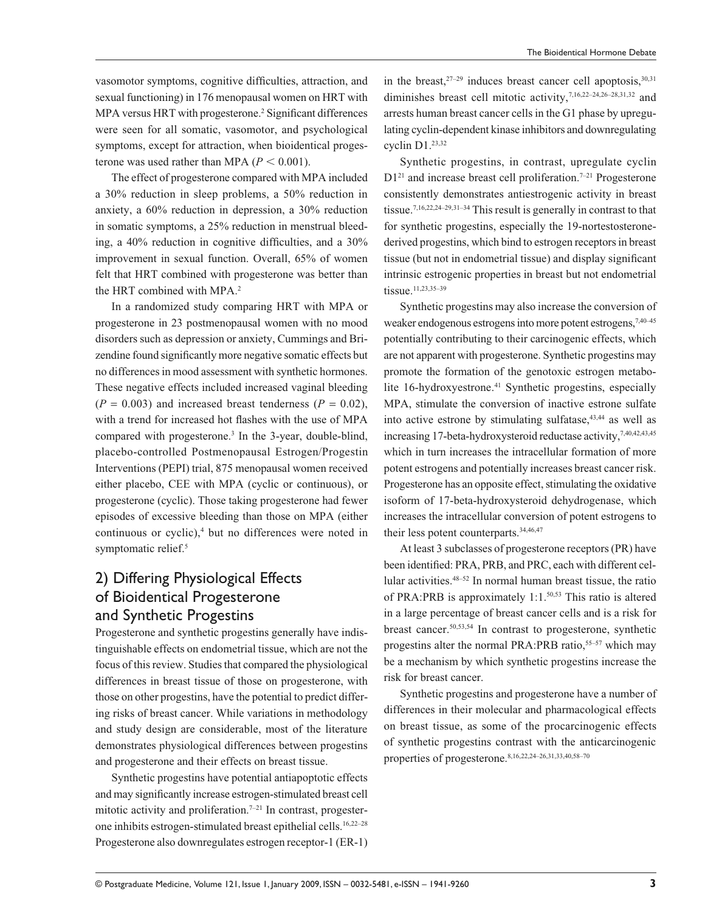vasomotor symptoms, cognitive difficulties, attraction, and sexual functioning) in 176 menopausal women on HRT with MPA versus HRT with progesterone.<sup>2</sup> Significant differences were seen for all somatic, vasomotor, and psychological symptoms, except for attraction, when bioidentical progesterone was used rather than MPA  $(P < 0.001)$ .

The effect of progesterone compared with MPA included a 30% reduction in sleep problems, a 50% reduction in anxiety, a 60% reduction in depression, a 30% reduction in somatic symptoms, a 25% reduction in menstrual bleeding, a 40% reduction in cognitive difficulties, and a 30% improvement in sexual function. Overall, 65% of women felt that HRT combined with progesterone was better than the HRT combined with MPA.<sup>2</sup>

In a randomized study comparing HRT with MPA or progesterone in 23 postmenopausal women with no mood disorders such as depression or anxiety, Cummings and Brizendine found significantly more negative somatic effects but no differences in mood assessment with synthetic hormones. These negative effects included increased vaginal bleeding  $(P = 0.003)$  and increased breast tenderness  $(P = 0.02)$ , with a trend for increased hot flashes with the use of MPA compared with progesterone.<sup>3</sup> In the 3-year, double-blind, placebo-controlled Postmenopausal Estrogen/Progestin Interventions (PEPI) trial, 875 menopausal women received either placebo, CEE with MPA (cyclic or continuous), or progesterone (cyclic). Those taking progesterone had fewer episodes of excessive bleeding than those on MPA (either continuous or cyclic),<sup>4</sup> but no differences were noted in symptomatic relief.<sup>5</sup>

## 2) Differing Physiological Effects of Bioidentical Progesterone and Synthetic Progestins

Progesterone and synthetic progestins generally have indistinguishable effects on endometrial tissue, which are not the focus of this review. Studies that compared the physiological differences in breast tissue of those on progesterone, with those on other progestins, have the potential to predict differing risks of breast cancer. While variations in methodology and study design are considerable, most of the literature demonstrates physiological differences between progestins and progesterone and their effects on breast tissue.

Synthetic progestins have potential antiapoptotic effects and may significantly increase estrogen-stimulated breast cell mitotic activity and proliferation.<sup> $7-21$ </sup> In contrast, progesterone inhibits estrogen-stimulated breast epithelial cells.16,22–28 Progesterone also downregulates estrogen receptor-1 (ER-1)

in the breast, $27-29$  induces breast cancer cell apoptosis, $30,31$ diminishes breast cell mitotic activity,7,16,22–24,26–28,31,32 and arrests human breast cancer cells in the G1 phase by upregulating cyclin-dependent kinase inhibitors and downregulating cyclin D1.23,32

Synthetic progestins, in contrast, upregulate cyclin  $D1<sup>21</sup>$  and increase breast cell proliferation.<sup>7-21</sup> Progesterone consistently demonstrates antiestrogenic activity in breast tissue.7,16,22,24–29,31–34 This result is generally in contrast to that for synthetic progestins, especially the 19-nortestosteronederived progestins, which bind to estrogen receptors in breast tissue (but not in endometrial tissue) and display significant intrinsic estrogenic properties in breast but not endometrial tissue.<sup>11,23,35-39</sup>

Synthetic progestins may also increase the conversion of weaker endogenous estrogens into more potent estrogens,<sup>7,40–45</sup> potentially contributing to their carcinogenic effects, which are not apparent with progesterone. Synthetic progestins may promote the formation of the genotoxic estrogen metabolite 16-hydroxyestrone.<sup>41</sup> Synthetic progestins, especially MPA, stimulate the conversion of inactive estrone sulfate into active estrone by stimulating sulfatase,43,44 as well as increasing 17-beta-hydroxysteroid reductase activity,<sup>7,40,42,43,45</sup> which in turn increases the intracellular formation of more potent estrogens and potentially increases breast cancer risk. Progesterone has an opposite effect, stimulating the oxidative isoform of 17-beta-hydroxysteroid dehydrogenase, which increases the intracellular conversion of potent estrogens to their less potent counterparts.34,46,47

At least 3 subclasses of progesterone receptors (PR) have been identified: PRA, PRB, and PRC, each with different cellular activities.48–52 In normal human breast tissue, the ratio of PRA:PRB is approximately 1:1.50,53 This ratio is altered in a large percentage of breast cancer cells and is a risk for breast cancer.50,53,54 In contrast to progesterone, synthetic progestins alter the normal PRA:PRB ratio,<sup>55-57</sup> which may be a mechanism by which synthetic progestins increase the risk for breast cancer.

Synthetic progestins and progesterone have a number of differences in their molecular and pharmacological effects on breast tissue, as some of the procarcinogenic effects of synthetic progestins contrast with the anticarcinogenic properties of progesterone.<sup>8,16,22,24-26,31,33,40,58-70</sup>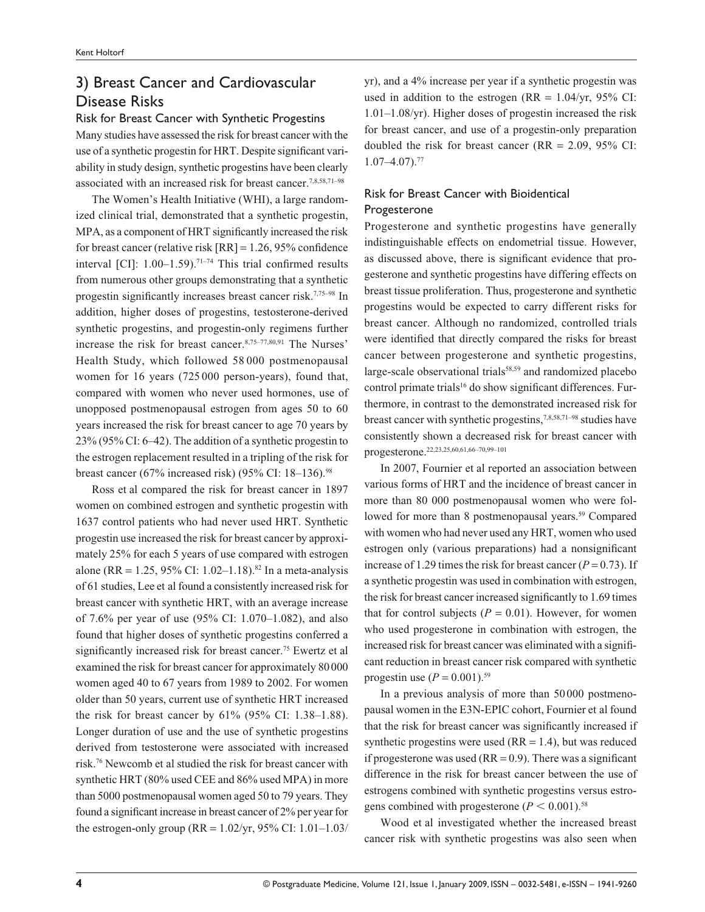## 3) Breast Cancer and Cardiovascular Disease Risks

#### Risk for Breast Cancer with Synthetic Progestins

Many studies have assessed the risk for breast cancer with the use of a synthetic progestin for HRT. Despite significant variability in study design, synthetic progestins have been clearly associated with an increased risk for breast cancer.7,8,58,71–98

The Women's Health Initiative (WHI), a large randomized clinical trial, demonstrated that a synthetic progestin, MPA, as a component of HRT significantly increased the risk for breast cancer (relative risk  $[RR] = 1.26, 95\%$  confidence interval  $\text{[CI]}$ : 1.00–1.59).<sup>71–74</sup> This trial confirmed results from numerous other groups demonstrating that a synthetic progestin significantly increases breast cancer risk.7,75–98 In addition, higher doses of progestins, testosterone-derived synthetic progestins, and progestin-only regimens further increase the risk for breast cancer.8,75–77,80,91 The Nurses' Health Study, which followed 58 000 postmenopausal women for 16 years (725 000 person-years), found that, compared with women who never used hormones, use of unopposed postmenopausal estrogen from ages 50 to 60 years increased the risk for breast cancer to age 70 years by 23% (95% CI: 6–42). The addition of a synthetic progestin to the estrogen replacement resulted in a tripling of the risk for breast cancer (67% increased risk) (95% CI: 18-136).<sup>98</sup>

Ross et al compared the risk for breast cancer in 1897 women on combined estrogen and synthetic progestin with 1637 control patients who had never used HRT. Synthetic progestin use increased the risk for breast cancer by approximately 25% for each 5 years of use compared with estrogen alone (RR = 1.25, 95% CI: 1.02–1.18).<sup>82</sup> In a meta-analysis of 61 studies, Lee et al found a consistently increased risk for breast cancer with synthetic HRT, with an average increase of 7.6% per year of use (95% CI: 1.070–1.082), and also found that higher doses of synthetic progestins conferred a significantly increased risk for breast cancer.<sup>75</sup> Ewertz et al examined the risk for breast cancer for approximately 80 000 women aged 40 to 67 years from 1989 to 2002. For women older than 50 years, current use of synthetic HRT increased the risk for breast cancer by 61% (95% CI: 1.38–1.88). Longer duration of use and the use of synthetic progestins derived from testosterone were associated with increased risk.76 Newcomb et al studied the risk for breast cancer with synthetic HRT (80% used CEE and 86% used MPA) in more than 5000 postmenopausal women aged 50 to 79 years. They found a significant increase in breast cancer of 2% per year for the estrogen-only group ( $RR = 1.02/yr$ , 95% CI:  $1.01-1.03/$ 

yr), and a 4% increase per year if a synthetic progestin was used in addition to the estrogen ( $RR = 1.04/yr$ , 95% CI: 1.01–1.08/yr). Higher doses of progestin increased the risk for breast cancer, and use of a progestin-only preparation doubled the risk for breast cancer ( $RR = 2.09$ , 95% CI: 1.07–4.07).77

### Risk for Breast Cancer with Bioidentical Progesterone

Progesterone and synthetic progestins have generally indistinguishable effects on endometrial tissue. However, as discussed above, there is significant evidence that progesterone and synthetic progestins have differing effects on breast tissue proliferation. Thus, progesterone and synthetic progestins would be expected to carry different risks for breast cancer. Although no randomized, controlled trials were identified that directly compared the risks for breast cancer between progesterone and synthetic progestins, large-scale observational trials<sup>58,59</sup> and randomized placebo control primate trials<sup>16</sup> do show significant differences. Furthermore, in contrast to the demonstrated increased risk for breast cancer with synthetic progestins,7,8,58,71–98 studies have consistently shown a decreased risk for breast cancer with progesterone.22,23,25,60,61,66–70,99–101

In 2007, Fournier et al reported an association between various forms of HRT and the incidence of breast cancer in more than 80 000 postmenopausal women who were followed for more than 8 postmenopausal years.<sup>59</sup> Compared with women who had never used any HRT, women who used estrogen only (various preparations) had a nonsignificant increase of 1.29 times the risk for breast cancer  $(P = 0.73)$ . If a synthetic progestin was used in combination with estrogen, the risk for breast cancer increased significantly to 1.69 times that for control subjects ( $P = 0.01$ ). However, for women who used progesterone in combination with estrogen, the increased risk for breast cancer was eliminated with a significant reduction in breast cancer risk compared with synthetic progestin use  $(P = 0.001).$ <sup>59</sup>

In a previous analysis of more than 50 000 postmenopausal women in the E3N-EPIC cohort, Fournier et al found that the risk for breast cancer was significantly increased if synthetic progestins were used  $(RR = 1.4)$ , but was reduced if progesterone was used  $(RR = 0.9)$ . There was a significant difference in the risk for breast cancer between the use of estrogens combined with synthetic progestins versus estrogens combined with progesterone  $(P < 0.001)$ .<sup>58</sup>

Wood et al investigated whether the increased breast cancer risk with synthetic progestins was also seen when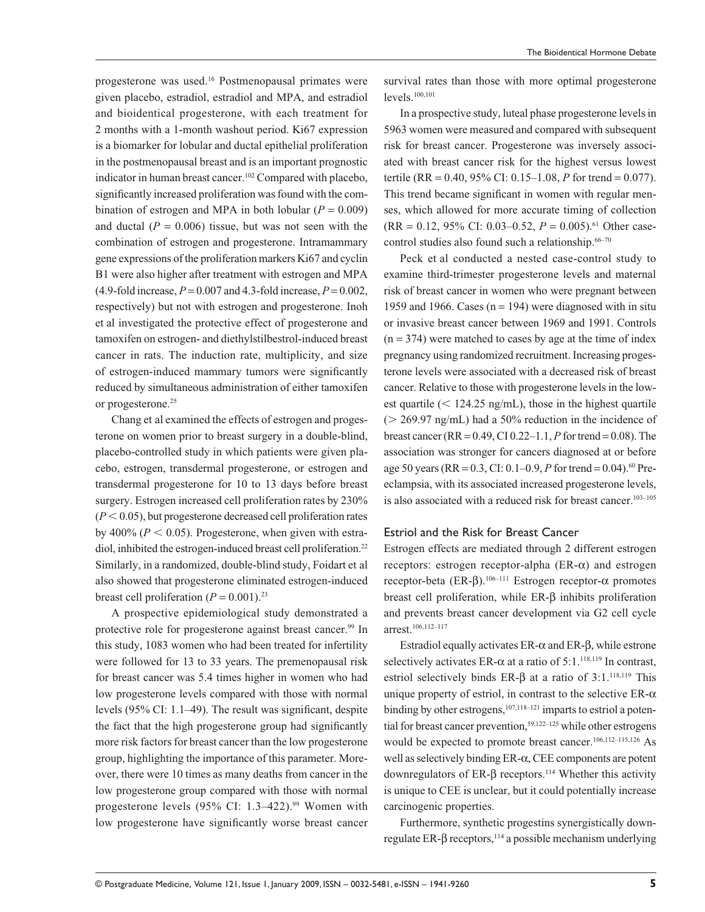The Bioidentical Hormone Debate

progesterone was used.16 Postmenopausal primates were given placebo, estradiol, estradiol and MPA, and estradiol and bioidentical progesterone, with each treatment for 2 months with a 1-month washout period. Ki67 expression is a biomarker for lobular and ductal epithelial proliferation in the postmenopausal breast and is an important prognostic indicator in human breast cancer.<sup>102</sup> Compared with placebo, significantly increased proliferation was found with the combination of estrogen and MPA in both lobular ( $P = 0.009$ ) and ductal  $(P = 0.006)$  tissue, but was not seen with the combination of estrogen and progesterone. Intramammary gene expressions of the proliferation markers Ki67 and cyclin B1 were also higher after treatment with estrogen and MPA  $(4.9\text{-}fold increase, P = 0.007 and 4.3\text{-}fold increase, P = 0.002,$ respectively) but not with estrogen and progesterone. Inoh et al investigated the protective effect of progesterone and tamoxifen on estrogen- and diethylstilbestrol-induced breast cancer in rats. The induction rate, multiplicity, and size of estrogen-induced mammary tumors were significantly reduced by simultaneous administration of either tamoxifen or progesterone.<sup>25</sup>

Chang et al examined the effects of estrogen and progesterone on women prior to breast surgery in a double-blind, placebo-controlled study in which patients were given placebo, estrogen, transdermal progesterone, or estrogen and transdermal progesterone for 10 to 13 days before breast surgery. Estrogen increased cell proliferation rates by 230%  $(P < 0.05)$ , but progesterone decreased cell proliferation rates by 400% ( $P < 0.05$ ). Progesterone, when given with estradiol, inhibited the estrogen-induced breast cell proliferation.22 Similarly, in a randomized, double-blind study, Foidart et al also showed that progesterone eliminated estrogen-induced breast cell proliferation  $(P = 0.001)$ .<sup>23</sup>

A prospective epidemiological study demonstrated a protective role for progesterone against breast cancer.<sup>99</sup> In this study, 1083 women who had been treated for infertility were followed for 13 to 33 years. The premenopausal risk for breast cancer was 5.4 times higher in women who had low progesterone levels compared with those with normal levels (95% CI: 1.1–49). The result was significant, despite the fact that the high progesterone group had significantly more risk factors for breast cancer than the low progesterone group, highlighting the importance of this parameter. Moreover, there were 10 times as many deaths from cancer in the low progesterone group compared with those with normal progesterone levels  $(95\% \text{ CI: } 1.3-422).^{99}$  Women with low progesterone have significantly worse breast cancer

survival rates than those with more optimal progesterone levels.100,101

In a prospective study, luteal phase progesterone levels in 5963 women were measured and compared with subsequent risk for breast cancer. Progesterone was inversely associated with breast cancer risk for the highest versus lowest tertile (RR =  $0.40$ ,  $95\%$  CI:  $0.15-1.08$ , *P* for trend =  $0.077$ ). This trend became significant in women with regular menses, which allowed for more accurate timing of collection  $(RR = 0.12, 95\% \text{ CI: } 0.03 - 0.52, P = 0.005).$ <sup>61</sup> Other casecontrol studies also found such a relationship.<sup>66–70</sup>

Peck et al conducted a nested case-control study to examine third-trimester progesterone levels and maternal risk of breast cancer in women who were pregnant between 1959 and 1966. Cases  $(n = 194)$  were diagnosed with in situ or invasive breast cancer between 1969 and 1991. Controls  $(n = 374)$  were matched to cases by age at the time of index pregnancy using randomized recruitment. Increasing progesterone levels were associated with a decreased risk of breast cancer. Relative to those with progesterone levels in the lowest quartile  $(< 124.25 \text{ ng/mL})$ , those in the highest quartile  $( > 269.97$  ng/mL) had a 50% reduction in the incidence of breast cancer ( $RR = 0.49$ ,  $CI 0.22-1.1$ ,  $P$  for trend  $= 0.08$ ). The association was stronger for cancers diagnosed at or before age 50 years (RR = 0.3, CI: 0.1–0.9, *P* for trend = 0.04).<sup>60</sup> Preeclampsia, with its associated increased progesterone levels, is also associated with a reduced risk for breast cancer.<sup>103-105</sup>

#### Estriol and the Risk for Breast Cancer

Estrogen effects are mediated through 2 different estrogen receptors: estrogen receptor-alpha ( $ER-\alpha$ ) and estrogen receptor-beta (ER- $\beta$ ).<sup>106–111</sup> Estrogen receptor- $\alpha$  promotes breast cell proliferation, while  $ER-\beta$  inhibits proliferation and prevents breast cancer development via G2 cell cycle arrest.106,112–117

Estradiol equally activates ER- $\alpha$  and ER- $\beta$ , while estrone selectively activates ER- $\alpha$  at a ratio of 5:1.<sup>118,119</sup> In contrast, estriol selectively binds  $ER-\beta$  at a ratio of 3:1.<sup>118,119</sup> This unique property of estriol, in contrast to the selective  $ER-\alpha$ binding by other estrogens,<sup>107,118–121</sup> imparts to estriol a potential for breast cancer prevention,<sup>59,122–125</sup> while other estrogens would be expected to promote breast cancer.<sup>106,112–115,126</sup> As well as selectively binding  $ER-\alpha$ , CEE components are potent downregulators of  $ER-<sub>0</sub>$  receptors.<sup>114</sup> Whether this activity is unique to CEE is unclear, but it could potentially increase carcinogenic properties.

Furthermore, synthetic progestins synergistically downregulate ER- $\beta$  receptors,<sup>114</sup> a possible mechanism underlying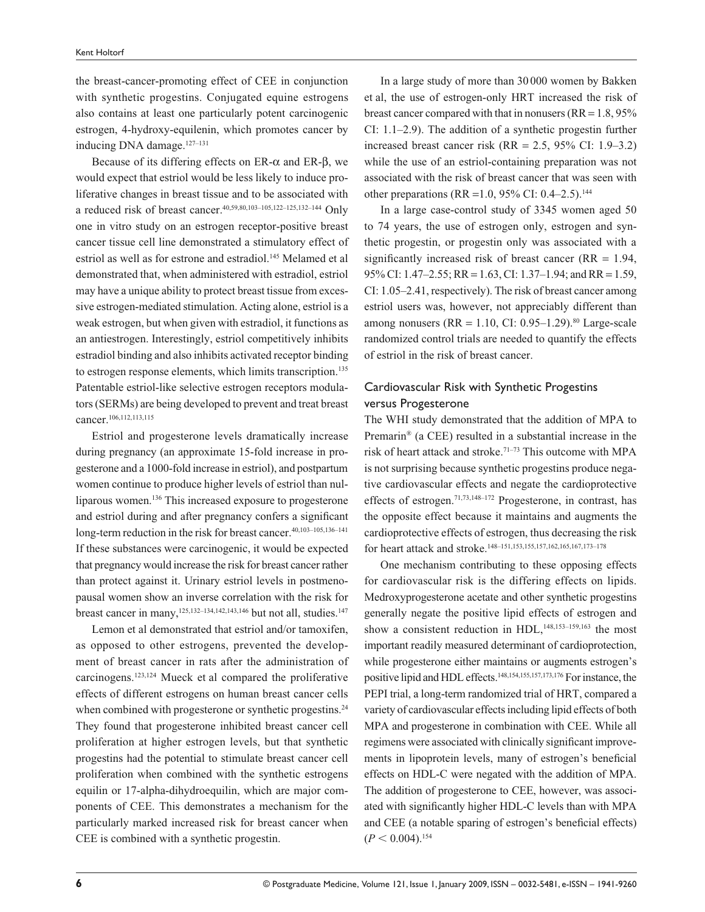the breast-cancer-promoting effect of CEE in conjunction with synthetic progestins. Conjugated equine estrogens also contains at least one particularly potent carcinogenic estrogen, 4-hydroxy-equilenin, which promotes cancer by inducing DNA damage.<sup>127-131</sup>

Because of its differing effects on  $ER-\alpha$  and  $ER-\beta$ , we would expect that estriol would be less likely to induce proliferative changes in breast tissue and to be associated with a reduced risk of breast cancer.40,59,80,103–105,122–125,132–144 Only one in vitro study on an estrogen receptor-positive breast cancer tissue cell line demonstrated a stimulatory effect of estriol as well as for estrone and estradiol.<sup>145</sup> Melamed et al demonstrated that, when administered with estradiol, estriol may have a unique ability to protect breast tissue from excessive estrogen-mediated stimulation. Acting alone, estriol is a weak estrogen, but when given with estradiol, it functions as an antiestrogen. Interestingly, estriol competitively inhibits estradiol binding and also inhibits activated receptor binding to estrogen response elements, which limits transcription.<sup>135</sup> Patentable estriol-like selective estrogen receptors modulators (SERMs) are being developed to prevent and treat breast cancer.<sup>106,112,113,115</sup>

Estriol and progesterone levels dramatically increase during pregnancy (an approximate 15-fold increase in progesterone and a 1000-fold increase in estriol), and postpartum women continue to produce higher levels of estriol than nulliparous women.136 This increased exposure to progesterone and estriol during and after pregnancy confers a significant long-term reduction in the risk for breast cancer.<sup>40,103-105,136-141</sup> If these substances were carcinogenic, it would be expected that pregnancy would increase the risk for breast cancer rather than protect against it. Urinary estriol levels in postmenopausal women show an inverse correlation with the risk for breast cancer in many,  $^{125,132-134,142,143,146}$  but not all, studies.<sup>147</sup>

Lemon et al demonstrated that estriol and/or tamoxifen, as opposed to other estrogens, prevented the development of breast cancer in rats after the administration of carcinogens.123,124 Mueck et al compared the proliferative effects of different estrogens on human breast cancer cells when combined with progesterone or synthetic progestins.<sup>24</sup> They found that progesterone inhibited breast cancer cell proliferation at higher estrogen levels, but that synthetic progestins had the potential to stimulate breast cancer cell proliferation when combined with the synthetic estrogens equilin or 17-alpha-dihydroequilin, which are major components of CEE. This demonstrates a mechanism for the particularly marked increased risk for breast cancer when CEE is combined with a synthetic progestin.

In a large study of more than 30 000 women by Bakken et al, the use of estrogen-only HRT increased the risk of breast cancer compared with that in nonusers  $(RR = 1.8, 95\%$ CI: 1.1–2.9). The addition of a synthetic progestin further increased breast cancer risk  $(RR = 2.5, 95\% \text{ CI: } 1.9-3.2)$ while the use of an estriol-containing preparation was not associated with the risk of breast cancer that was seen with other preparations (RR = 1.0, 95% CI: 0.4–2.5).<sup>144</sup>

In a large case-control study of 3345 women aged 50 to 74 years, the use of estrogen only, estrogen and synthetic progestin, or progestin only was associated with a significantly increased risk of breast cancer  $(RR = 1.94,$ 95% CI:  $1.47-2.55$ ; RR = 1.63, CI:  $1.37-1.94$ ; and RR = 1.59, CI: 1.05–2.41, respectively). The risk of breast cancer among estriol users was, however, not appreciably different than among nonusers ( $RR = 1.10$ , CI: 0.95–1.29).<sup>80</sup> Large-scale randomized control trials are needed to quantify the effects of estriol in the risk of breast cancer.

### Cardiovascular Risk with Synthetic Progestins versus Progesterone

The WHI study demonstrated that the addition of MPA to Premarin® (a CEE) resulted in a substantial increase in the risk of heart attack and stroke.71–73 This outcome with MPA is not surprising because synthetic progestins produce negative cardiovascular effects and negate the cardioprotective effects of estrogen.71,73,148–172 Progesterone, in contrast, has the opposite effect because it maintains and augments the cardioprotective effects of estrogen, thus decreasing the risk for heart attack and stroke.148–151,153,155,157,162,165,167,173–178

One mechanism contributing to these opposing effects for cardiovascular risk is the differing effects on lipids. Medroxyprogesterone acetate and other synthetic progestins generally negate the positive lipid effects of estrogen and show a consistent reduction in HDL, $^{148,153-159,163}$  the most important readily measured determinant of cardioprotection, while progesterone either maintains or augments estrogen's positive lipid and HDL effects.<sup>148,154,155,157,173,176</sup> For instance, the PEPI trial, a long-term randomized trial of HRT, compared a variety of cardiovascular effects including lipid effects of both MPA and progesterone in combination with CEE. While all regimens were associated with clinically significant improvements in lipoprotein levels, many of estrogen's beneficial effects on HDL-C were negated with the addition of MPA. The addition of progesterone to CEE, however, was associated with significantly higher HDL-C levels than with MPA and CEE (a notable sparing of estrogen's beneficial effects)  $(P < 0.004)$ .<sup>154</sup>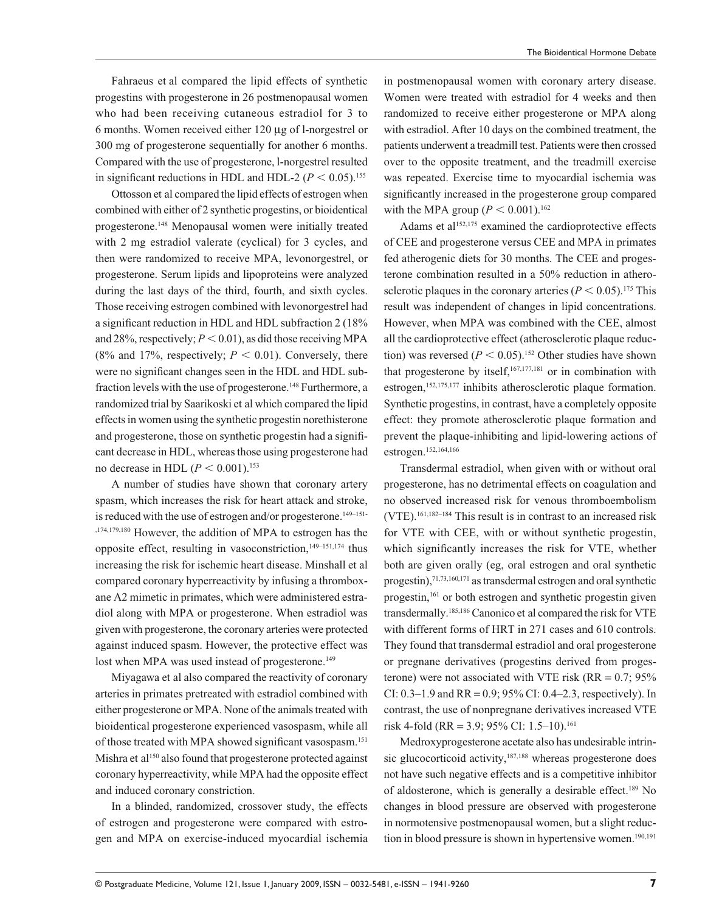Fahraeus et al compared the lipid effects of synthetic progestins with progesterone in 26 postmenopausal women who had been receiving cutaneous estradiol for 3 to 6 months. Women received either  $120 \mu$ g of l-norgestrel or 300 mg of progesterone sequentially for another 6 months. Compared with the use of progesterone, l-norgestrel resulted in significant reductions in HDL and HDL-2  $(P < 0.05)$ .<sup>155</sup>

Ottosson et al compared the lipid effects of estrogen when combined with either of 2 synthetic progestins, or bioidentical progesterone.148 Menopausal women were initially treated with 2 mg estradiol valerate (cyclical) for 3 cycles, and then were randomized to receive MPA, levonorgestrel, or progesterone. Serum lipids and lipoproteins were analyzed during the last days of the third, fourth, and sixth cycles. Those receiving estrogen combined with levonorgestrel had a significant reduction in HDL and HDL subfraction 2 (18% and 28%, respectively;  $P < 0.01$ ), as did those receiving MPA (8% and 17%, respectively;  $P < 0.01$ ). Conversely, there were no significant changes seen in the HDL and HDL subfraction levels with the use of progesterone.<sup>148</sup> Furthermore, a randomized trial by Saarikoski et al which compared the lipid effects in women using the synthetic progestin norethisterone and progesterone, those on synthetic progestin had a significant decrease in HDL, whereas those using progesterone had no decrease in HDL  $(P < 0.001)$ .<sup>153</sup>

A number of studies have shown that coronary artery spasm, which increases the risk for heart attack and stroke, is reduced with the use of estrogen and/or progesterone.<sup>149–151-</sup> ,174,179,180 However, the addition of MPA to estrogen has the opposite effect, resulting in vasoconstriction,<sup>149–151,174</sup> thus increasing the risk for ischemic heart disease. Minshall et al compared coronary hyperreactivity by infusing a thromboxane A2 mimetic in primates, which were administered estradiol along with MPA or progesterone. When estradiol was given with progesterone, the coronary arteries were protected against induced spasm. However, the protective effect was lost when MPA was used instead of progesterone.<sup>149</sup>

Miyagawa et al also compared the reactivity of coronary arteries in primates pretreated with estradiol combined with either progesterone or MPA. None of the animals treated with bioidentical progesterone experienced vasospasm, while all of those treated with MPA showed significant vasospasm.151 Mishra et al<sup>150</sup> also found that progesterone protected against coronary hyperreactivity, while MPA had the opposite effect and induced coronary constriction.

In a blinded, randomized, crossover study, the effects of estrogen and progesterone were compared with estrogen and MPA on exercise-induced myocardial ischemia in postmenopausal women with coronary artery disease. Women were treated with estradiol for 4 weeks and then randomized to receive either progesterone or MPA along with estradiol. After 10 days on the combined treatment, the patients underwent a treadmill test. Patients were then crossed over to the opposite treatment, and the treadmill exercise was repeated. Exercise time to myocardial ischemia was significantly increased in the progesterone group compared with the MPA group  $(P < 0.001)$ .<sup>162</sup>

Adams et al $152,175$  examined the cardioprotective effects of CEE and progesterone versus CEE and MPA in primates fed atherogenic diets for 30 months. The CEE and progesterone combination resulted in a 50% reduction in atherosclerotic plaques in the coronary arteries  $(P < 0.05)$ .<sup>175</sup> This result was independent of changes in lipid concentrations. However, when MPA was combined with the CEE, almost all the cardioprotective effect (atherosclerotic plaque reduction) was reversed  $(P < 0.05)$ .<sup>152</sup> Other studies have shown that progesterone by itself,<sup>167,177,181</sup> or in combination with estrogen,<sup>152,175,177</sup> inhibits atherosclerotic plaque formation. Synthetic progestins, in contrast, have a completely opposite effect: they promote atherosclerotic plaque formation and prevent the plaque-inhibiting and lipid-lowering actions of estrogen.152,164,166

Transdermal estradiol, when given with or without oral progesterone, has no detrimental effects on coagulation and no observed increased risk for venous thromboembolism (VTE).161,182–184 This result is in contrast to an increased risk for VTE with CEE, with or without synthetic progestin, which significantly increases the risk for VTE, whether both are given orally (eg, oral estrogen and oral synthetic progestin), $71,73,160,171$  as transdermal estrogen and oral synthetic progestin,161 or both estrogen and synthetic progestin given transdermally.185,186 Canonico et al compared the risk for VTE with different forms of HRT in 271 cases and 610 controls. They found that transdermal estradiol and oral progesterone or pregnane derivatives (progestins derived from progesterone) were not associated with VTE risk  $(RR = 0.7; 95\%$ CI:  $0.3-1.9$  and RR =  $0.9$ ;  $95\%$  CI:  $0.4-2.3$ , respectively). In contrast, the use of nonpregnane derivatives increased VTE risk 4-fold (RR = 3.9; 95% CI: 1.5–10).<sup>161</sup>

Medroxyprogesterone acetate also has undesirable intrinsic glucocorticoid activity,<sup>187,188</sup> whereas progesterone does not have such negative effects and is a competitive inhibitor of aldosterone, which is generally a desirable effect.<sup>189</sup> No changes in blood pressure are observed with progesterone in normotensive postmenopausal women, but a slight reduction in blood pressure is shown in hypertensive women.<sup>190,191</sup>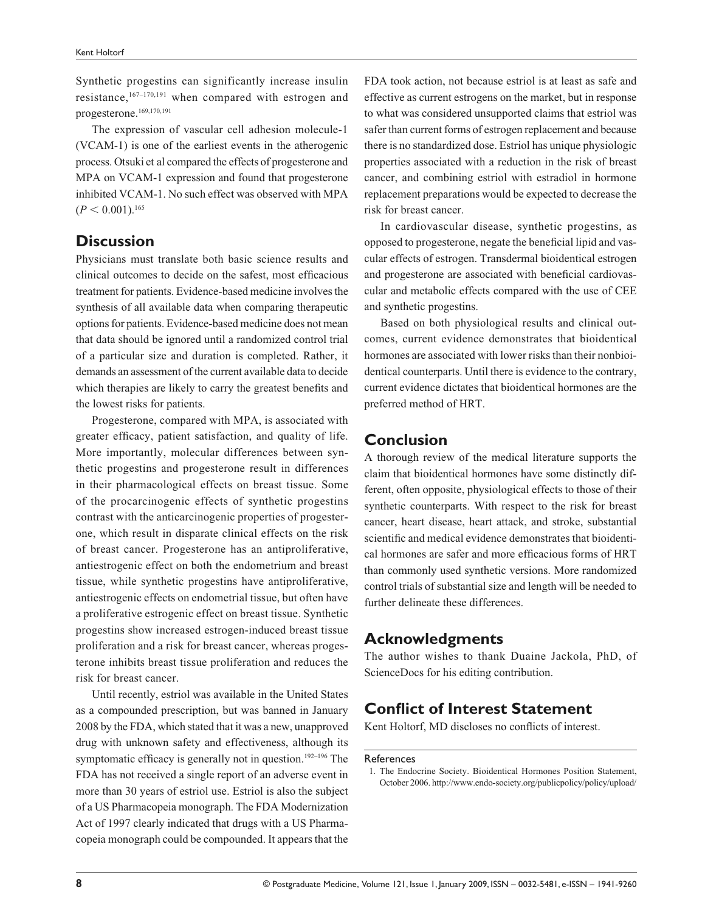Synthetic progestins can significantly increase insulin resistance,167–170,191 when compared with estrogen and progesterone.169,170,191

The expression of vascular cell adhesion molecule-1 (VCAM-1) is one of the earliest events in the atherogenic process. Otsuki et al compared the effects of progesterone and MPA on VCAM-1 expression and found that progesterone inhibited VCAM-1. No such effect was observed with MPA  $(P < 0.001).$ <sup>165</sup>

## **Discussion**

Physicians must translate both basic science results and clinical outcomes to decide on the safest, most efficacious treatment for patients. Evidence-based medicine involves the synthesis of all available data when comparing therapeutic options for patients. Evidence-based medicine does not mean that data should be ignored until a randomized control trial of a particular size and duration is completed. Rather, it demands an assessment of the current available data to decide which therapies are likely to carry the greatest benefits and the lowest risks for patients.

Progesterone, compared with MPA, is associated with greater efficacy, patient satisfaction, and quality of life. More importantly, molecular differences between synthetic progestins and progesterone result in differences in their pharmacological effects on breast tissue. Some of the procarcinogenic effects of synthetic progestins contrast with the anticarcinogenic properties of progesterone, which result in disparate clinical effects on the risk of breast cancer. Progesterone has an antiproliferative, antiestrogenic effect on both the endometrium and breast tissue, while synthetic progestins have antiproliferative, antiestrogenic effects on endometrial tissue, but often have a proliferative estrogenic effect on breast tissue. Synthetic progestins show increased estrogen-induced breast tissue proliferation and a risk for breast cancer, whereas progesterone inhibits breast tissue proliferation and reduces the risk for breast cancer.

Until recently, estriol was available in the United States as a compounded prescription, but was banned in January 2008 by the FDA, which stated that it was a new, unapproved drug with unknown safety and effectiveness, although its symptomatic efficacy is generally not in question.<sup>192-196</sup> The FDA has not received a single report of an adverse event in more than 30 years of estriol use. Estriol is also the subject of a US Pharmacopeia monograph. The FDA Modernization Act of 1997 clearly indicated that drugs with a US Pharmacopeia monograph could be compounded. It appears that the FDA took action, not because estriol is at least as safe and effective as current estrogens on the market, but in response to what was considered unsupported claims that estriol was safer than current forms of estrogen replacement and because there is no standardized dose. Estriol has unique physiologic properties associated with a reduction in the risk of breast cancer, and combining estriol with estradiol in hormone replacement preparations would be expected to decrease the risk for breast cancer.

In cardiovascular disease, synthetic progestins, as opposed to progesterone, negate the beneficial lipid and vascular effects of estrogen. Transdermal bioidentical estrogen and progesterone are associated with beneficial cardiovascular and metabolic effects compared with the use of CEE and synthetic progestins.

Based on both physiological results and clinical outcomes, current evidence demonstrates that bioidentical hormones are associated with lower risks than their nonbioidentical counterparts. Until there is evidence to the contrary, current evidence dictates that bioidentical hormones are the preferred method of HRT.

## **Conclusion**

A thorough review of the medical literature supports the claim that bioidentical hormones have some distinctly different, often opposite, physiological effects to those of their synthetic counterparts. With respect to the risk for breast cancer, heart disease, heart attack, and stroke, substantial scientific and medical evidence demonstrates that bioidentical hormones are safer and more efficacious forms of HRT than commonly used synthetic versions. More randomized control trials of substantial size and length will be needed to further delineate these differences.

## **Acknowledgments**

The author wishes to thank Duaine Jackola, PhD, of ScienceDocs for his editing contribution.

# **Conflict of Interest Statement**

Kent Holtorf, MD discloses no conflicts of interest.

#### **References**

 1. The Endocrine Society. Bioidentical Hormones Position Statement, October 2006. http://www.endo-society.org/publicpolicy/policy/upload/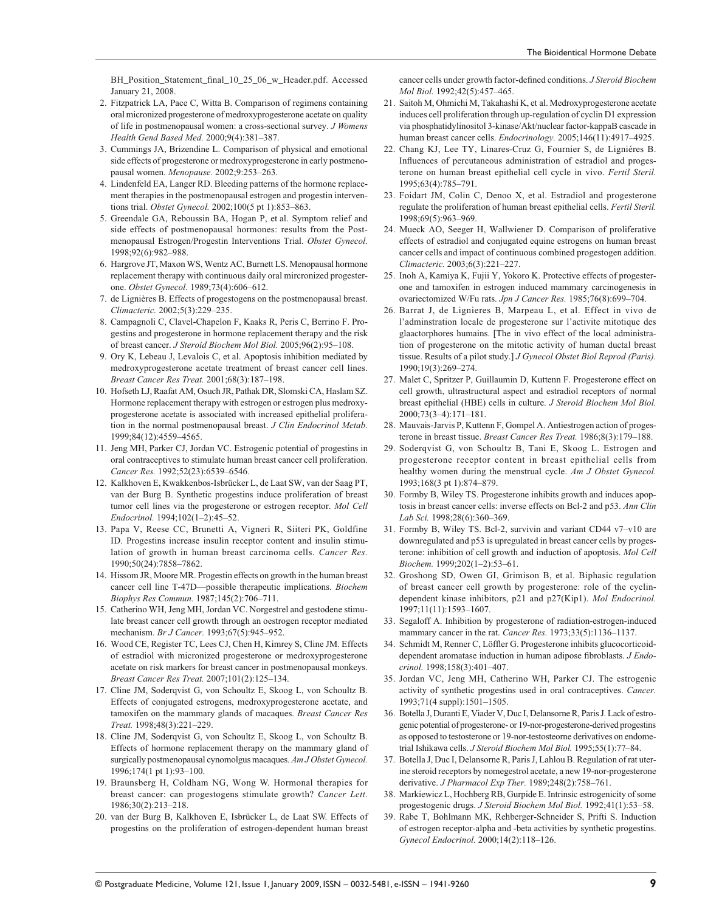BH\_Position\_Statement\_final\_10\_25\_06\_w\_Header.pdf. Accessed January 21, 2008.

- 2. Fitzpatrick LA, Pace C, Witta B. Comparison of regimens containing oral micronized progesterone of medroxyprogesterone acetate on quality of life in postmenopausal women: a cross-sectional survey. *J Womens Health Gend Based Med.* 2000;9(4):381–387.
- 3. Cummings JA, Brizendine L. Comparison of physical and emotional side effects of progesterone or medroxyprogesterone in early postmenopausal women. *Menopause.* 2002;9:253–263.
- 4. Lindenfeld EA, Langer RD. Bleeding patterns of the hormone replacement therapies in the postmenopausal estrogen and progestin interventions trial. *Obstet Gynecol.* 2002;100(5 pt 1):853–863.
- 5. Greendale GA, Reboussin BA, Hogan P, et al. Symptom relief and side effects of postmenopausal hormones: results from the Postmenopausal Estrogen/Progestin Interventions Trial. *Obstet Gynecol.* 1998;92(6):982–988.
- 6. Hargrove JT, Maxon WS, Wentz AC, Burnett LS. Menopausal hormone replacement therapy with continuous daily oral mircronized progesterone. *Obstet Gynecol.* 1989;73(4):606–612.
- 7. de Lignières B. Effects of progestogens on the postmenopausal breast. *Climacteric.* 2002;5(3):229–235.
- 8. Campagnoli C, Clavel-Chapelon F, Kaaks R, Peris C, Berrino F. Progestins and progesterone in hormone replacement therapy and the risk of breast cancer. *J Steroid Biochem Mol Biol.* 2005;96(2):95–108.
- 9. Ory K, Lebeau J, Levalois C, et al. Apoptosis inhibition mediated by medroxyprogesterone acetate treatment of breast cancer cell lines. *Breast Cancer Res Treat.* 2001;68(3):187–198.
- 10. Hofseth LJ, Raafat AM, Osuch JR, Pathak DR, Slomski CA, Haslam SZ. Hormone replacement therapy with estrogen or estrogen plus medroxyprogesterone acetate is associated with increased epithelial proliferation in the normal postmenopausal breast. *J Clin Endocrinol Metab.* 1999;84(12):4559–4565.
- 11. Jeng MH, Parker CJ, Jordan VC. Estrogenic potential of progestins in oral contraceptives to stimulate human breast cancer cell proliferation. *Cancer Res.* 1992;52(23):6539–6546.
- 12. Kalkhoven E, Kwakkenbos-Isbrücker L, de Laat SW, van der Saag PT, van der Burg B. Synthetic progestins induce proliferation of breast tumor cell lines via the progesterone or estrogen receptor. *Mol Cell Endocrinol.* 1994;102(1–2):45–52.
- 13. Papa V, Reese CC, Brunetti A, Vigneri R, Siiteri PK, Goldfine ID. Progestins increase insulin receptor content and insulin stimulation of growth in human breast carcinoma cells. *Cancer Res.* 1990;50(24):7858–7862.
- 14. Hissom JR, Moore MR. Progestin effects on growth in the human breast cancer cell line T-47D—possible therapeutic implications. *Biochem Biophys Res Commun.* 1987;145(2):706–711.
- 15. Catherino WH, Jeng MH, Jordan VC. Norgestrel and gestodene stimulate breast cancer cell growth through an oestrogen receptor mediated mechanism. *Br J Cancer.* 1993;67(5):945–952.
- 16. Wood CE, Register TC, Lees CJ, Chen H, Kimrey S, Cline JM. Effects of estradiol with micronized progesterone or medroxyprogesterone acetate on risk markers for breast cancer in postmenopausal monkeys. *Breast Cancer Res Treat.* 2007;101(2):125–134.
- 17. Cline JM, Soderqvist G, von Schoultz E, Skoog L, von Schoultz B. Effects of conjugated estrogens, medroxyprogesterone acetate, and tamoxifen on the mammary glands of macaques. *Breast Cancer Res Treat.* 1998;48(3):221–229.
- 18. Cline JM, Soderqvist G, von Schoultz E, Skoog L, von Schoultz B. Effects of hormone replacement therapy on the mammary gland of surgically postmenopausal cynomolgus macaques. *Am J Obstet Gynecol.* 1996;174(1 pt 1):93–100.
- 19. Braunsberg H, Coldham NG, Wong W. Hormonal therapies for breast cancer: can progestogens stimulate growth? *Cancer Lett.* 1986;30(2):213–218.
- 20. van der Burg B, Kalkhoven E, Isbrücker L, de Laat SW. Effects of progestins on the proliferation of estrogen-dependent human breast

cancer cells under growth factor-defined conditions. *J Steroid Biochem Mol Biol.* 1992;42(5):457–465.

- 21. Saitoh M, Ohmichi M, Takahashi K, et al. Medroxyprogesterone acetate induces cell proliferation through up-regulation of cyclin D1 expression via phosphatidylinositol 3-kinase/Akt/nuclear factor-kappaB cascade in human breast cancer cells. *Endocrinology.* 2005;146(11):4917–4925.
- 22. Chang KJ, Lee TY, Linares-Cruz G, Fournier S, de Ligniéres B. Influences of percutaneous administration of estradiol and progesterone on human breast epithelial cell cycle in vivo. *Fertil Steril.* 1995;63(4):785–791.
- 23. Foidart JM, Colin C, Denoo X, et al. Estradiol and progesterone regulate the proliferation of human breast epithelial cells. *Fertil Steril.* 1998;69(5):963–969.
- 24. Mueck AO, Seeger H, Wallwiener D. Comparison of proliferative effects of estradiol and conjugated equine estrogens on human breast cancer cells and impact of continuous combined progestogen addition. *Climacteric.* 2003;6(3):221–227.
- 25. Inoh A, Kamiya K, Fujii Y, Yokoro K. Protective effects of progesterone and tamoxifen in estrogen induced mammary carcinogenesis in ovariectomized W/Fu rats. *Jpn J Cancer Res.* 1985;76(8):699–704.
- 26. Barrat J, de Lignieres B, Marpeau L, et al. Effect in vivo de l'adminstration locale de progesterone sur l'activite mitotique des glaactorphores humains. [The in vivo effect of the local administration of progesterone on the mitotic activity of human ductal breast tissue. Results of a pilot study.] *J Gynecol Obstet Biol Reprod (Paris).* 1990;19(3):269–274.
- 27. Malet C, Spritzer P, Guillaumin D, Kuttenn F. Progesterone effect on cell growth, ultrastructural aspect and estradiol receptors of normal breast epithelial (HBE) cells in culture. *J Steroid Biochem Mol Biol.* 2000;73(3–4):171–181.
- 28. Mauvais-Jarvis P, Kuttenn F, Gompel A. Antiestrogen action of progesterone in breast tissue. *Breast Cancer Res Treat.* 1986;8(3):179–188.
- 29. Soderqvist G, von Schoultz B, Tani E, Skoog L. Estrogen and progesterone receptor content in breast epithelial cells from healthy women during the menstrual cycle. *Am J Obstet Gynecol.* 1993;168(3 pt 1):874–879.
- 30. Formby B, Wiley TS. Progesterone inhibits growth and induces apoptosis in breast cancer cells: inverse effects on Bcl-2 and p53. *Ann Clin Lab Sci.* 1998;28(6):360–369.
- 31. Formby B, Wiley TS. Bcl-2, survivin and variant CD44 v7–v10 are downregulated and p53 is upregulated in breast cancer cells by progesterone: inhibition of cell growth and induction of apoptosis. *Mol Cell Biochem.* 1999;202(1–2):53–61.
- 32. Groshong SD, Owen GI, Grimison B, et al. Biphasic regulation of breast cancer cell growth by progesterone: role of the cyclindependent kinase inhibitors, p21 and p27(Kip1). *Mol Endocrinol.* 1997;11(11):1593–1607.
- 33. Segaloff A. Inhibition by progesterone of radiation-estrogen-induced mammary cancer in the rat. *Cancer Res.* 1973;33(5):1136–1137.
- 34. Schmidt M, Renner C, Löffler G. Progesterone inhibits glucocorticoiddependent aromatase induction in human adipose fibroblasts. *J Endocrinol.* 1998;158(3):401–407.
- 35. Jordan VC, Jeng MH, Catherino WH, Parker CJ. The estrogenic activity of synthetic progestins used in oral contraceptives. *Cancer.* 1993;71(4 suppl):1501–1505.
- 36. Botella J, Duranti E, Viader V, Duc I, Delansorne R, Paris J. Lack of estrogenic potential of progesterone- or 19-nor-progesterone-derived progestins as opposed to testosterone or 19-nor-testosteorne derivatives on endometrial Ishikawa cells. *J Steroid Biochem Mol Biol.* 1995;55(1):77–84.
- 37. Botella J, Duc I, Delansorne R, Paris J, Lahlou B. Regulation of rat uterine steroid receptors by nomegestrol acetate, a new 19-nor-progesterone derivative. *J Pharmacol Exp Ther.* 1989;248(2):758–761.
- 38. Markiewicz L, Hochberg RB, Gurpide E. Intrinsic estrogenicity of some progestogenic drugs. *J Steroid Biochem Mol Biol.* 1992;41(1):53–58.
- 39. Rabe T, Bohlmann MK, Rehberger-Schneider S, Prifti S. Induction of estrogen receptor-alpha and -beta activities by synthetic progestins. *Gynecol Endocrinol.* 2000;14(2):118–126.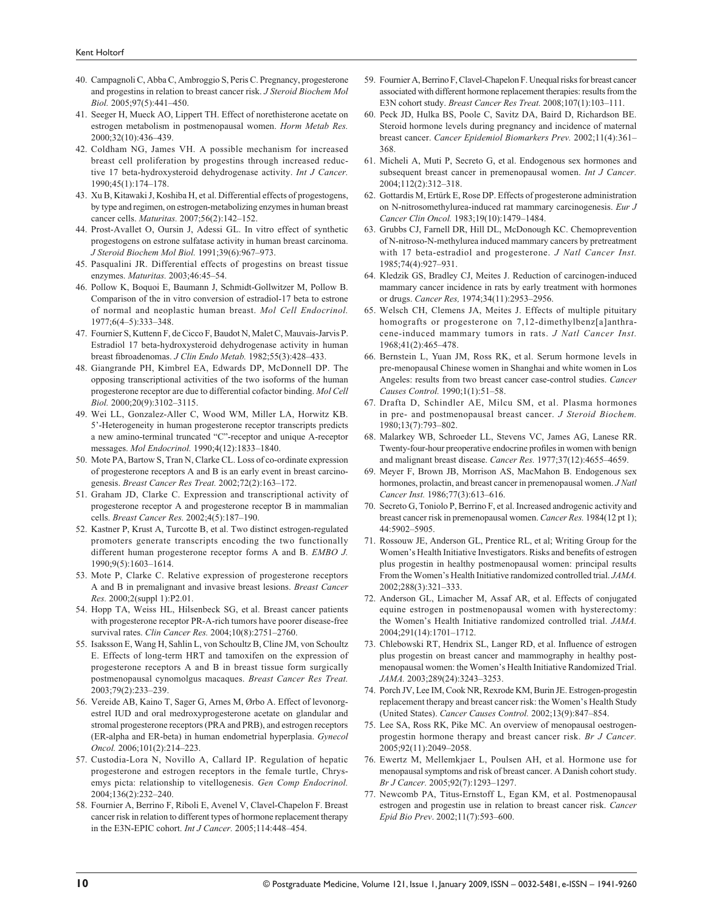- 40. Campagnoli C, Abba C, Ambroggio S, Peris C. Pregnancy, progesterone and progestins in relation to breast cancer risk. *J Steroid Biochem Mol Biol.* 2005;97(5):441–450.
- 41. Seeger H, Mueck AO, Lippert TH. Effect of norethisterone acetate on estrogen metabolism in postmenopausal women. *Horm Metab Res.* 2000;32(10):436–439.
- 42. Coldham NG, James VH. A possible mechanism for increased breast cell proliferation by progestins through increased reductive 17 beta-hydroxysteroid dehydrogenase activity. *Int J Cancer.* 1990;45(1):174–178.
- 43. Xu B, Kitawaki J, Koshiba H, et al. Differential effects of progestogens, by type and regimen, on estrogen-metabolizing enzymes in human breast cancer cells. *Maturitas.* 2007;56(2):142–152.
- 44. Prost-Avallet O, Oursin J, Adessi GL. In vitro effect of synthetic progestogens on estrone sulfatase activity in human breast carcinoma. *J Steroid Biochem Mol Biol.* 1991;39(6):967–973.
- 45. Pasqualini JR. Differential effects of progestins on breast tissue enzymes. *Maturitas.* 2003;46:45–54.
- 46. Pollow K, Boquoi E, Baumann J, Schmidt-Gollwitzer M, Pollow B. Comparison of the in vitro conversion of estradiol-17 beta to estrone of normal and neoplastic human breast. *Mol Cell Endocrinol.* 1977;6(4–5):333–348.
- 47. Fournier S, Kuttenn F, de Cicco F, Baudot N, Malet C, Mauvais-Jarvis P. Estradiol 17 beta-hydroxysteroid dehydrogenase activity in human breast fibroadenomas. *J Clin Endo Metab.* 1982;55(3):428–433.
- 48. Giangrande PH, Kimbrel EA, Edwards DP, McDonnell DP. The opposing transcriptional activities of the two isoforms of the human progesterone receptor are due to differential cofactor binding. *Mol Cell Biol.* 2000;20(9):3102–3115.
- 49. Wei LL, Gonzalez-Aller C, Wood WM, Miller LA, Horwitz KB. 5'-Heterogeneity in human progesterone receptor transcripts predicts a new amino-terminal truncated "C"-receptor and unique A-receptor messages. *Mol Endocrinol.* 1990;4(12):1833–1840.
- 50. Mote PA, Bartow S, Tran N, Clarke CL. Loss of co-ordinate expression of progesterone receptors A and B is an early event in breast carcinogenesis. *Breast Cancer Res Treat.* 2002;72(2):163–172.
- 51. Graham JD, Clarke C. Expression and transcriptional activity of progesterone receptor A and progesterone receptor B in mammalian cells. *Breast Cancer Res.* 2002;4(5):187–190.
- 52. Kastner P, Krust A, Turcotte B, et al. Two distinct estrogen-regulated promoters generate transcripts encoding the two functionally different human progesterone receptor forms A and B. *EMBO J.* 1990;9(5):1603–1614.
- 53. Mote P, Clarke C. Relative expression of progesterone receptors A and B in premalignant and invasive breast lesions. *Breast Cancer Res.* 2000;2(suppl 1):P2.01.
- 54. Hopp TA, Weiss HL, Hilsenbeck SG, et al. Breast cancer patients with progesterone receptor PR-A-rich tumors have poorer disease-free survival rates. *Clin Cancer Res.* 2004;10(8):2751–2760.
- 55. Isaksson E, Wang H, Sahlin L, von Schoultz B, Cline JM, von Schoultz E. Effects of long-term HRT and tamoxifen on the expression of progesterone receptors A and B in breast tissue form surgically postmenopausal cynomolgus macaques. *Breast Cancer Res Treat.* 2003;79(2):233–239.
- 56. Vereide AB, Kaino T, Sager G, Arnes M, Ørbo A. Effect of levonorgestrel IUD and oral medroxyprogesterone acetate on glandular and stromal progesterone receptors (PRA and PRB), and estrogen receptors (ER-alpha and ER-beta) in human endometrial hyperplasia. *Gynecol Oncol.* 2006;101(2):214–223.
- 57. Custodia-Lora N, Novillo A, Callard IP. Regulation of hepatic progesterone and estrogen receptors in the female turtle, Chrysemys picta: relationship to vitellogenesis. *Gen Comp Endocrinol.* 2004;136(2):232–240.
- 58. Fournier A, Berrino F, Riboli E, Avenel V, Clavel-Chapelon F. Breast cancer risk in relation to different types of hormone replacement therapy in the E3N-EPIC cohort. *Int J Cancer.* 2005;114:448–454.
- 59. Fournier A, Berrino F, Clavel-Chapelon F. Unequal risks for breast cancer associated with different hormone replacement therapies: results from the E3N cohort study. *Breast Cancer Res Treat.* 2008;107(1):103–111.
- 60. Peck JD, Hulka BS, Poole C, Savitz DA, Baird D, Richardson BE. Steroid hormone levels during pregnancy and incidence of maternal breast cancer. *Cancer Epidemiol Biomarkers Prev.* 2002;11(4):361– 368.
- 61. Micheli A, Muti P, Secreto G, et al. Endogenous sex hormones and subsequent breast cancer in premenopausal women. *Int J Cancer.* 2004;112(2):312–318.
- 62. Gottardis M, Ertürk E, Rose DP. Effects of progesterone administration on N-nitrosomethylurea-induced rat mammary carcinogenesis. *Eur J Cancer Clin Oncol.* 1983;19(10):1479–1484.
- 63. Grubbs CJ, Farnell DR, Hill DL, McDonough KC. Chemoprevention of N-nitroso-N-methylurea induced mammary cancers by pretreatment with 17 beta-estradiol and progesterone. *J Natl Cancer Inst.* 1985;74(4):927–931.
- 64. Kledzik GS, Bradley CJ, Meites J. Reduction of carcinogen-induced mammary cancer incidence in rats by early treatment with hormones or drugs. *Cancer Res,* 1974;34(11):2953–2956.
- 65. Welsch CH, Clemens JA, Meites J. Effects of multiple pituitary homografts or progesterone on 7,12-dimethylbenz[a]anthracene-induced mammary tumors in rats. *J Natl Cancer Inst.* 1968;41(2):465–478.
- 66. Bernstein L, Yuan JM, Ross RK, et al. Serum hormone levels in pre-menopausal Chinese women in Shanghai and white women in Los Angeles: results from two breast cancer case-control studies. *Cancer Causes Control.* 1990;1(1):51–58.
- 67. Drafta D, Schindler AE, Milcu SM, et al. Plasma hormones in pre- and postmenopausal breast cancer. *J Steroid Biochem.* 1980;13(7):793–802.
- 68. Malarkey WB, Schroeder LL, Stevens VC, James AG, Lanese RR. Twenty-four-hour preoperative endocrine profiles in women with benign and malignant breast disease. *Cancer Res.* 1977;37(12):4655–4659.
- 69. Meyer F, Brown JB, Morrison AS, MacMahon B. Endogenous sex hormones, prolactin, and breast cancer in premenopausal women. *J Natl Cancer Inst.* 1986;77(3):613–616.
- 70. Secreto G, Toniolo P, Berrino F, et al. Increased androgenic activity and breast cancer risk in premenopausal women. *Cancer Res.* 1984(12 pt 1); 44:5902–5905.
- 71. Rossouw JE, Anderson GL, Prentice RL, et al; Writing Group for the Women's Health Initiative Investigators. Risks and benefits of estrogen plus progestin in healthy postmenopausal women: principal results From the Women's Health Initiative randomized controlled trial. *JAMA.* 2002;288(3):321–333.
- 72. Anderson GL, Limacher M, Assaf AR, et al. Effects of conjugated equine estrogen in postmenopausal women with hysterectomy: the Women's Health Initiative randomized controlled trial. *JAMA.* 2004;291(14):1701–1712.
- 73. Chlebowski RT, Hendrix SL, Langer RD, et al. Influence of estrogen plus progestin on breast cancer and mammography in healthy postmenopausal women: the Women's Health Initiative Randomized Trial. *JAMA.* 2003;289(24):3243–3253.
- 74. Porch JV, Lee IM, Cook NR, Rexrode KM, Burin JE. Estrogen-progestin replacement therapy and breast cancer risk: the Women's Health Study (United States). *Cancer Causes Control.* 2002;13(9):847–854.
- 75. Lee SA, Ross RK, Pike MC. An overview of menopausal oestrogenprogestin hormone therapy and breast cancer risk. *Br J Cancer.* 2005;92(11):2049–2058.
- 76. Ewertz M, Mellemkjaer L, Poulsen AH, et al. Hormone use for menopausal symptoms and risk of breast cancer. A Danish cohort study. *Br J Cancer.* 2005;92(7):1293–1297.
- 77. Newcomb PA, Titus-Ernstoff L, Egan KM, et al. Postmenopausal estrogen and progestin use in relation to breast cancer risk. *Cancer Epid Bio Prev*. 2002;11(7):593–600.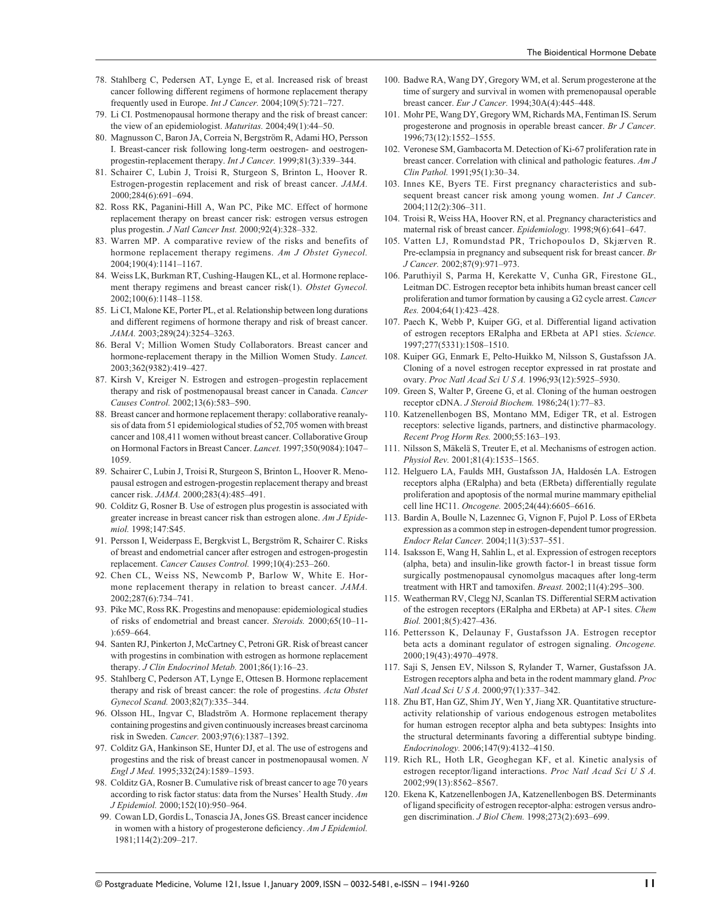- 78. Stahlberg C, Pedersen AT, Lynge E, et al. Increased risk of breast cancer following different regimens of hormone replacement therapy frequently used in Europe. *Int J Cancer.* 2004;109(5):721–727.
- 79. Li CI. Postmenopausal hormone therapy and the risk of breast cancer: the view of an epidemiologist. *Maturitas.* 2004;49(1):44–50.
- 80. Magnusson C, Baron JA, Correia N, Bergström R, Adami HO, Persson I. Breast-cancer risk following long-term oestrogen- and oestrogenprogestin-replacement therapy. *Int J Cancer.* 1999;81(3):339–344.
- 81. Schairer C, Lubin J, Troisi R, Sturgeon S, Brinton L, Hoover R. Estrogen-progestin replacement and risk of breast cancer. *JAMA.* 2000;284(6):691–694.
- 82. Ross RK, Paganini-Hill A, Wan PC, Pike MC. Effect of hormone replacement therapy on breast cancer risk: estrogen versus estrogen plus progestin. *J Natl Cancer Inst.* 2000;92(4):328–332.
- 83. Warren MP. A comparative review of the risks and benefits of hormone replacement therapy regimens. *Am J Obstet Gynecol.* 2004;190(4):1141–1167.
- 84. Weiss LK, Burkman RT, Cushing-Haugen KL, et al. Hormone replacement therapy regimens and breast cancer risk(1). *Obstet Gynecol.* 2002;100(6):1148–1158.
- 85. Li CI, Malone KE, Porter PL, et al. Relationship between long durations and different regimens of hormone therapy and risk of breast cancer. *JAMA.* 2003;289(24):3254–3263.
- 86. Beral V; Million Women Study Collaborators. Breast cancer and hormone-replacement therapy in the Million Women Study. *Lancet.* 2003;362(9382):419–427.
- 87. Kirsh V, Kreiger N. Estrogen and estrogen–progestin replacement therapy and risk of postmenopausal breast cancer in Canada. *Cancer Causes Control.* 2002;13(6):583–590.
- 88. Breast cancer and hormone replacement therapy: collaborative reanalysis of data from 51 epidemiological studies of 52,705 women with breast cancer and 108,411 women without breast cancer. Collaborative Group on Hormonal Factors in Breast Cancer. *Lancet.* 1997;350(9084):1047– 1059.
- 89. Schairer C, Lubin J, Troisi R, Sturgeon S, Brinton L, Hoover R. Menopausal estrogen and estrogen-progestin replacement therapy and breast cancer risk. *JAMA.* 2000;283(4):485–491.
- 90. Colditz G, Rosner B. Use of estrogen plus progestin is associated with greater increase in breast cancer risk than estrogen alone. *Am J Epidemiol.* 1998;147:S45.
- 91. Persson I, Weiderpass E, Bergkvist L, Bergström R, Schairer C. Risks of breast and endometrial cancer after estrogen and estrogen-progestin replacement. *Cancer Causes Control.* 1999;10(4):253–260.
- 92. Chen CL, Weiss NS, Newcomb P, Barlow W, White E. Hormone replacement therapy in relation to breast cancer. *JAMA.* 2002;287(6):734–741.
- 93. Pike MC, Ross RK. Progestins and menopause: epidemiological studies of risks of endometrial and breast cancer. *Steroids.* 2000;65(10–11- ):659–664.
- 94. Santen RJ, Pinkerton J, McCartney C, Petroni GR. Risk of breast cancer with progestins in combination with estrogen as hormone replacement therapy. *J Clin Endocrinol Metab.* 2001;86(1):16–23.
- 95. Stahlberg C, Pederson AT, Lynge E, Ottesen B. Hormone replacement therapy and risk of breast cancer: the role of progestins. *Acta Obstet Gynecol Scand.* 2003;82(7):335–344.
- 96. Olsson HL, Ingvar C, Bladström A. Hormone replacement therapy containing progestins and given continuously increases breast carcinoma risk in Sweden. *Cancer.* 2003;97(6):1387–1392.
- 97. Colditz GA, Hankinson SE, Hunter DJ, et al. The use of estrogens and progestins and the risk of breast cancer in postmenopausal women. *N Engl J Med.* 1995;332(24):1589–1593.
- 98. Colditz GA, Rosner B. Cumulative risk of breast cancer to age 70 years according to risk factor status: data from the Nurses' Health Study. *Am J Epidemiol.* 2000;152(10):950–964.
- 99. Cowan LD, Gordis L, Tonascia JA, Jones GS. Breast cancer incidence in women with a history of progesterone deficiency. *Am J Epidemiol.* 1981;114(2):209–217.
- 100. Badwe RA, Wang DY, Gregory WM, et al. Serum progesterone at the time of surgery and survival in women with premenopausal operable breast cancer. *Eur J Cancer.* 1994;30A(4):445–448.
- 101. Mohr PE, Wang DY, Gregory WM, Richards MA, Fentiman IS. Serum progesterone and prognosis in operable breast cancer. *Br J Cancer.* 1996;73(12):1552–1555.
- 102. Veronese SM, Gambacorta M. Detection of Ki-67 proliferation rate in breast cancer. Correlation with clinical and pathologic features. *Am J Clin Pathol.* 1991;95(1):30–34.
- 103. Innes KE, Byers TE. First pregnancy characteristics and subsequent breast cancer risk among young women. *Int J Cancer.* 2004;112(2):306–311.
- 104. Troisi R, Weiss HA, Hoover RN, et al. Pregnancy characteristics and maternal risk of breast cancer. *Epidemiology.* 1998;9(6):641–647.
- 105. Vatten LJ, Romundstad PR, Trichopoulos D, Skjærven R. Pre-eclampsia in pregnancy and subsequent risk for breast cancer. *Br J Cancer.* 2002;87(9):971–973.
- 106. Paruthiyil S, Parma H, Kerekatte V, Cunha GR, Firestone GL, Leitman DC. Estrogen receptor beta inhibits human breast cancer cell proliferation and tumor formation by causing a G2 cycle arrest. *Cancer Res.* 2004;64(1):423–428.
- 107. Paech K, Webb P, Kuiper GG, et al. Differential ligand activation of estrogen receptors ERalpha and ERbeta at AP1 sties. *Science.* 1997;277(5331):1508–1510.
- 108. Kuiper GG, Enmark E, Pelto-Huikko M, Nilsson S, Gustafsson JA. Cloning of a novel estrogen receptor expressed in rat prostate and ovary. *Proc Natl Acad Sci U S A.* 1996;93(12):5925–5930.
- 109. Green S, Walter P, Greene G, et al. Cloning of the human oestrogen receptor cDNA. *J Steroid Biochem.* 1986;24(1):77–83.
- 110. Katzenellenbogen BS, Montano MM, Ediger TR, et al. Estrogen receptors: selective ligands, partners, and distinctive pharmacology. *Recent Prog Horm Res.* 2000;55:163–193.
- 111. Nilsson S, Mäkelä S, Treuter E, et al. Mechanisms of estrogen action. *Physiol Rev.* 2001;81(4):1535–1565.
- 112. Helguero LA, Faulds MH, Gustafsson JA, Haldosén LA. Estrogen receptors alpha (ERalpha) and beta (ERbeta) differentially regulate proliferation and apoptosis of the normal murine mammary epithelial cell line HC11. *Oncogene.* 2005;24(44):6605–6616.
- 113. Bardin A, Boulle N, Lazennec G, Vignon F, Pujol P. Loss of ERbeta expression as a common step in estrogen-dependent tumor progression. *Endocr Relat Cancer.* 2004;11(3):537–551.
- 114. Isaksson E, Wang H, Sahlin L, et al. Expression of estrogen receptors (alpha, beta) and insulin-like growth factor-1 in breast tissue form surgically postmenopausal cynomolgus macaques after long-term treatment with HRT and tamoxifen. *Breast.* 2002;11(4):295–300.
- 115. Weatherman RV, Clegg NJ, Scanlan TS. Differential SERM activation of the estrogen receptors (ERalpha and ERbeta) at AP-1 sites. *Chem Biol.* 2001;8(5):427–436.
- 116. Pettersson K, Delaunay F, Gustafsson JA. Estrogen receptor beta acts a dominant regulator of estrogen signaling. *Oncogene.* 2000;19(43):4970–4978.
- 117. Saji S, Jensen EV, Nilsson S, Rylander T, Warner, Gustafsson JA. Estrogen receptors alpha and beta in the rodent mammary gland. *Proc Natl Acad Sci U S A.* 2000;97(1):337–342.
- 118. Zhu BT, Han GZ, Shim JY, Wen Y, Jiang XR. Quantitative structureactivity relationship of various endogenous estrogen metabolites for human estrogen receptor alpha and beta subtypes: Insights into the structural determinants favoring a differential subtype binding. *Endocrinology.* 2006;147(9):4132–4150.
- 119. Rich RL, Hoth LR, Geoghegan KF, et al. Kinetic analysis of estrogen receptor/ligand interactions. *Proc Natl Acad Sci U S A.* 2002;99(13):8562–8567.
- 120. Ekena K, Katzenellenbogen JA, Katzenellenbogen BS. Determinants of ligand specificity of estrogen receptor-alpha: estrogen versus androgen discrimination. *J Biol Chem.* 1998;273(2):693–699.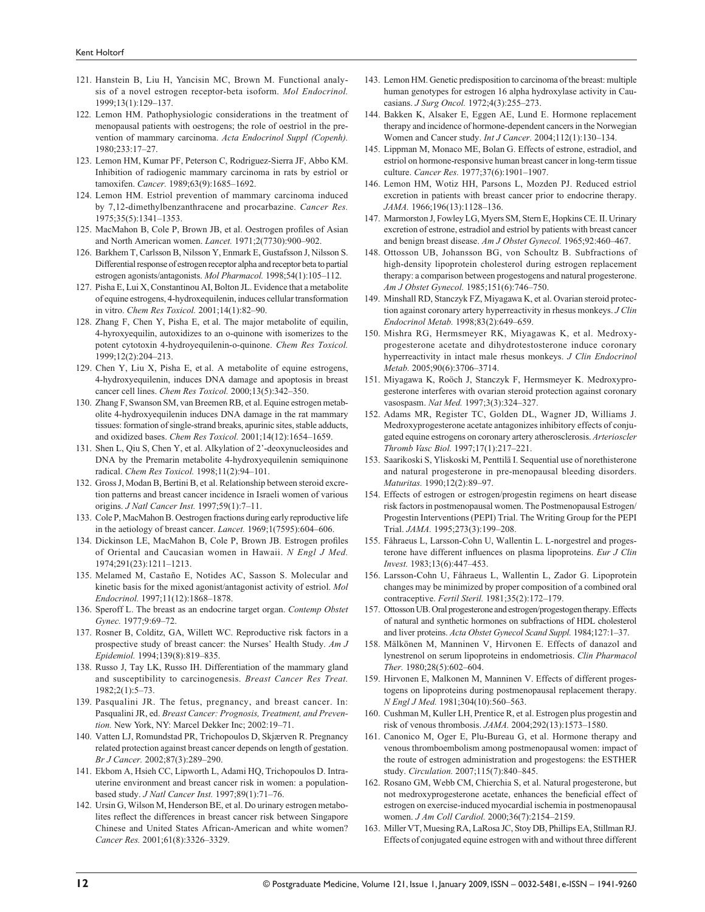- 121. Hanstein B, Liu H, Yancisin MC, Brown M. Functional analysis of a novel estrogen receptor-beta isoform. *Mol Endocrinol.* 1999;13(1):129–137.
- 122. Lemon HM. Pathophysiologic considerations in the treatment of menopausal patients with oestrogens; the role of oestriol in the prevention of mammary carcinoma. *Acta Endocrinol Suppl (Copenh).* 1980;233:17–27.
- 123. Lemon HM, Kumar PF, Peterson C, Rodriguez-Sierra JF, Abbo KM. Inhibition of radiogenic mammary carcinoma in rats by estriol or tamoxifen. *Cancer.* 1989;63(9):1685–1692.
- 124. Lemon HM. Estriol prevention of mammary carcinoma induced by 7,12-dimethylbenzanthracene and procarbazine. *Cancer Res.* 1975;35(5):1341–1353.
- 125. MacMahon B, Cole P, Brown JB, et al. Oestrogen profiles of Asian and North American women. *Lancet.* 1971;2(7730):900–902.
- 126. Barkhem T, Carlsson B, Nilsson Y, Enmark E, Gustafsson J, Nilsson S. Differential response of estrogen receptor alpha and receptor beta to partial estrogen agonists/antagonists. *Mol Pharmacol.* 1998;54(1):105–112.
- 127. Pisha E, Lui X, Constantinou AI, Bolton JL. Evidence that a metabolite of equine estrogens, 4-hydroxequilenin, induces cellular transformation in vitro. *Chem Res Toxicol.* 2001;14(1):82–90.
- 128. Zhang F, Chen Y, Pisha E, et al. The major metabolite of equilin, 4-hyroxyequilin, autoxidizes to an o-quinone with isomerizes to the potent cytotoxin 4-hydroyequilenin-o-quinone. *Chem Res Toxicol.* 1999;12(2):204–213.
- 129. Chen Y, Liu X, Pisha E, et al. A metabolite of equine estrogens, 4-hydroxyequilenin, induces DNA damage and apoptosis in breast cancer cell lines. *Chem Res Toxicol.* 2000;13(5):342–350.
- 130. Zhang F, Swanson SM, van Breemen RB, et al. Equine estrogen metabolite 4-hydroxyequilenin induces DNA damage in the rat mammary tissues: formation of single-strand breaks, apurinic sites, stable adducts, and oxidized bases. *Chem Res Toxicol.* 2001;14(12):1654–1659.
- 131. Shen L, Qiu S, Chen Y, et al. Alkylation of 2'-deoxynucleosides and DNA by the Premarin metabolite 4-hydroxyequilenin semiquinone radical. *Chem Res Toxicol.* 1998;11(2):94–101.
- 132. Gross J, Modan B, Bertini B, et al. Relationship between steroid excretion patterns and breast cancer incidence in Israeli women of various origins. *J Natl Cancer Inst.* 1997;59(1):7–11.
- 133. Cole P, MacMahon B. Oestrogen fractions during early reproductive life in the aetiology of breast cancer. *Lancet.* 1969;1(7595):604–606.
- 134. Dickinson LE, MacMahon B, Cole P, Brown JB. Estrogen profiles of Oriental and Caucasian women in Hawaii. *N Engl J Med.* 1974;291(23):1211–1213.
- 135. Melamed M, Castaño E, Notides AC, Sasson S. Molecular and kinetic basis for the mixed agonist/antagonist activity of estriol. *Mol Endocrinol.* 1997;11(12):1868–1878.
- 136. Speroff L. The breast as an endocrine target organ. *Contemp Obstet Gynec.* 1977;9:69–72.
- 137. Rosner B, Colditz, GA, Willett WC. Reproductive risk factors in a prospective study of breast cancer: the Nurses' Health Study. *Am J Epidemiol.* 1994;139(8):819–835.
- 138. Russo J, Tay LK, Russo IH. Differentiation of the mammary gland and susceptibility to carcinogenesis. *Breast Cancer Res Treat.* 1982;2(1):5–73.
- 139. Pasqualini JR. The fetus, pregnancy, and breast cancer. In: Pasqualini JR, ed. *Breast Cancer: Prognosis, Treatment, and Prevention.* New York, NY: Marcel Dekker Inc; 2002:19–71.
- 140. Vatten LJ, Romundstad PR, Trichopoulos D, Skjærven R. Pregnancy related protection against breast cancer depends on length of gestation. *Br J Cancer.* 2002;87(3):289–290.
- 141. Ekbom A, Hsieh CC, Lipworth L, Adami HQ, Trichopoulos D. Intrauterine environment and breast cancer risk in women: a populationbased study. *J Natl Cancer Inst.* 1997;89(1):71–76.
- 142. Ursin G, Wilson M, Henderson BE, et al. Do urinary estrogen metabolites reflect the differences in breast cancer risk between Singapore Chinese and United States African-American and white women? *Cancer Res.* 2001;61(8):3326–3329.
- 143. Lemon HM. Genetic predisposition to carcinoma of the breast: multiple human genotypes for estrogen 16 alpha hydroxylase activity in Caucasians. *J Surg Oncol.* 1972;4(3):255–273.
- 144. Bakken K, Alsaker E, Eggen AE, Lund E. Hormone replacement therapy and incidence of hormone-dependent cancers in the Norwegian Women and Cancer study. *Int J Cancer.* 2004;112(1):130–134.
- 145. Lippman M, Monaco ME, Bolan G. Effects of estrone, estradiol, and estriol on hormone-responsive human breast cancer in long-term tissue culture. *Cancer Res.* 1977;37(6):1901–1907.
- 146. Lemon HM, Wotiz HH, Parsons L, Mozden PJ. Reduced estriol excretion in patients with breast cancer prior to endocrine therapy. *JAMA.* 1966;196(13):1128–136.
- 147. Marmorston J, Fowley LG, Myers SM, Stern E, Hopkins CE. II. Urinary excretion of estrone, estradiol and estriol by patients with breast cancer and benign breast disease. *Am J Obstet Gynecol.* 1965;92:460–467.
- 148. Ottosson UB, Johansson BG, von Schoultz B. Subfractions of high-density lipoprotein cholesterol during estrogen replacement therapy: a comparison between progestogens and natural progesterone. *Am J Obstet Gynecol.* 1985;151(6):746–750.
- 149. Minshall RD, Stanczyk FZ, Miyagawa K, et al. Ovarian steroid protection against coronary artery hyperreactivity in rhesus monkeys. *J Clin Endocrinol Metab.* 1998;83(2):649–659.
- 150. Mishra RG, Hermsmeyer RK, Miyagawas K, et al. Medroxyprogesterone acetate and dihydrotestosterone induce coronary hyperreactivity in intact male rhesus monkeys. *J Clin Endocrinol Metab.* 2005;90(6):3706–3714.
- 151. Miyagawa K, Roöch J, Stanczyk F, Hermsmeyer K. Medroxyprogesterone interferes with ovarian steroid protection against coronary vasospasm. *Nat Med.* 1997;3(3):324–327.
- 152. Adams MR, Register TC, Golden DL, Wagner JD, Williams J. Medroxyprogesterone acetate antagonizes inhibitory effects of conjugated equine estrogens on coronary artery atherosclerosis. *Arterioscler Thromb Vasc Biol.* 1997;17(1):217–221.
- 153. Saarikoski S, Yliskoski M, Penttilä I. Sequential use of norethisterone and natural progesterone in pre-menopausal bleeding disorders. *Maturitas.* 1990;12(2):89–97.
- 154. Effects of estrogen or estrogen/progestin regimens on heart disease risk factors in postmenopausal women. The Postmenopausal Estrogen/ Progestin Interventions (PEPI) Trial. The Writing Group for the PEPI Trial. *JAMA.* 1995;273(3):199–208.
- 155. Fåhraeus L, Larsson-Cohn U, Wallentin L. L-norgestrel and progesterone have different influences on plasma lipoproteins. *Eur J Clin Invest.* 1983;13(6):447–453.
- 156. Larsson-Cohn U, Fåhraeus L, Wallentin L, Zador G. Lipoprotein changes may be minimized by proper composition of a combined oral contraceptive. *Fertil Steril.* 1981;35(2):172–179.
- 157. Ottosson UB. Oral progesterone and estrogen/progestogen therapy. Effects of natural and synthetic hormones on subfractions of HDL cholesterol and liver proteins. *Acta Obstet Gynecol Scand Suppl.* 1984;127:1–37.
- 158. Mälkönen M, Manninen V, Hirvonen E. Effects of danazol and lynestrenol on serum lipoproteins in endometriosis. *Clin Pharmacol Ther.* 1980;28(5):602–604.
- 159. Hirvonen E, Malkonen M, Manninen V. Effects of different progestogens on lipoproteins during postmenopausal replacement therapy. *N Engl J Med.* 1981;304(10):560–563.
- 160. Cushman M, Kuller LH, Prentice R, et al. Estrogen plus progestin and risk of venous thrombosis. *JAMA.* 2004;292(13):1573–1580.
- 161. Canonico M, Oger E, Plu-Bureau G, et al. Hormone therapy and venous thromboembolism among postmenopausal women: impact of the route of estrogen administration and progestogens: the ESTHER study. *Circulation.* 2007;115(7):840–845.
- 162. Rosano GM, Webb CM, Chierchia S, et al. Natural progesterone, but not medroxyprogesterone acetate, enhances the beneficial effect of estrogen on exercise-induced myocardial ischemia in postmenopausal women. *J Am Coll Cardiol.* 2000;36(7):2154–2159.
- 163. Miller VT, Muesing RA, LaRosa JC, Stoy DB, Phillips EA, Stillman RJ. Effects of conjugated equine estrogen with and without three different